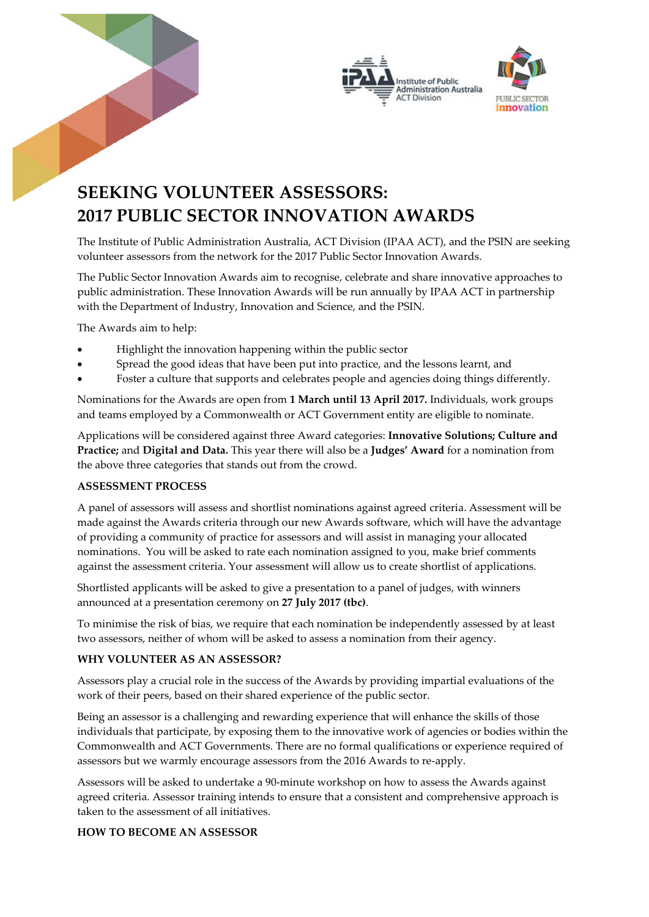



## **SEEKING VOLUNTEER ASSESSORS: 2017 PUBLIC SECTOR INNOVATION AWARDS**

The Institute of Public Administration Australia, ACT Division (IPAA ACT), and the PSIN are seeking volunteer assessors from the network for the 2017 Public Sector Innovation Awards.

The Public Sector Innovation Awards aim to recognise, celebrate and share innovative approaches to public administration. These Innovation Awards will be run annually by IPAA ACT in partnership with the Department of Industry, Innovation and Science, and the PSIN.

The Awards aim to help:

- Highlight the innovation happening within the public sector
- Spread the good ideas that have been put into practice, and the lessons learnt, and
- Foster a culture that supports and celebrates people and agencies doing things differently.

Nominations for the Awards are open from **1 March until 13 April 2017.** Individuals, work groups and teams employed by a Commonwealth or ACT Government entity are eligible to nominate.

Applications will be considered against three Award categories: **Innovative Solutions; Culture and Practice;** and **Digital and Data.** This year there will also be a **Judges' Award** for a nomination from the above three categories that stands out from the crowd.

## **ASSESSMENT PROCESS**

A panel of assessors will assess and shortlist nominations against agreed criteria. Assessment will be made against the Awards criteria through our new Awards software, which will have the advantage of providing a community of practice for assessors and will assist in managing your allocated nominations. You will be asked to rate each nomination assigned to you, make brief comments against the assessment criteria. Your assessment will allow us to create shortlist of applications.

Shortlisted applicants will be asked to give a presentation to a panel of judges, with winners announced at a presentation ceremony on **27 July 2017 (tbc)**.

To minimise the risk of bias, we require that each nomination be independently assessed by at least two assessors, neither of whom will be asked to assess a nomination from their agency.

## **WHY VOLUNTEER AS AN ASSESSOR?**

Assessors play a crucial role in the success of the Awards by providing impartial evaluations of the work of their peers, based on their shared experience of the public sector.

Being an assessor is a challenging and rewarding experience that will enhance the skills of those individuals that participate, by exposing them to the innovative work of agencies or bodies within the Commonwealth and ACT Governments. There are no formal qualifications or experience required of assessors but we warmly encourage assessors from the 2016 Awards to re-apply.

Assessors will be asked to undertake a 90-minute workshop on how to assess the Awards against agreed criteria. Assessor training intends to ensure that a consistent and comprehensive approach is taken to the assessment of all initiatives.

## **HOW TO BECOME AN ASSESSOR**